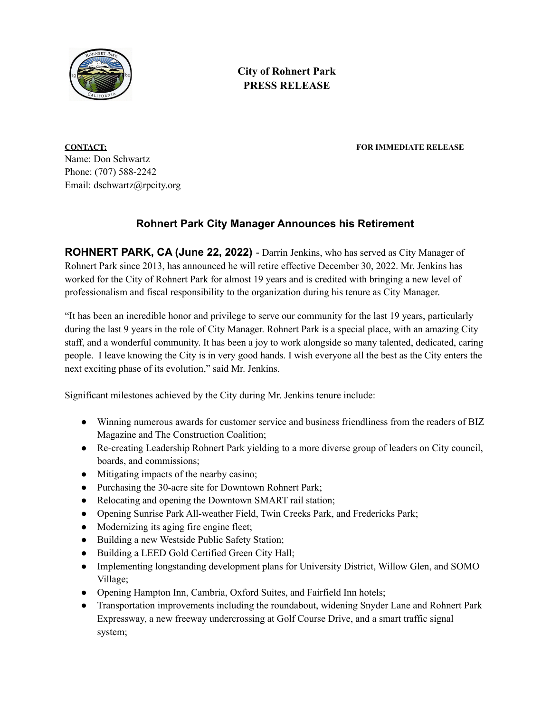

**City of Rohnert Park PRESS RELEASE**

**CONTACT: FOR IMMEDIATE RELEASE**

Name: Don Schwartz Phone: (707) 588-2242 Email: dschwartz@rpcity.org

## **Rohnert Park City Manager Announces his Retirement**

**ROHNERT PARK, CA (June 22, 2022)** - Darrin Jenkins, who has served as City Manager of Rohnert Park since 2013, has announced he will retire effective December 30, 2022. Mr. Jenkins has worked for the City of Rohnert Park for almost 19 years and is credited with bringing a new level of professionalism and fiscal responsibility to the organization during his tenure as City Manager.

"It has been an incredible honor and privilege to serve our community for the last 19 years, particularly during the last 9 years in the role of City Manager. Rohnert Park is a special place, with an amazing City staff, and a wonderful community. It has been a joy to work alongside so many talented, dedicated, caring people. I leave knowing the City is in very good hands. I wish everyone all the best as the City enters the next exciting phase of its evolution," said Mr. Jenkins.

Significant milestones achieved by the City during Mr. Jenkins tenure include:

- Winning numerous awards for customer service and business friendliness from the readers of BIZ Magazine and The Construction Coalition;
- Re-creating Leadership Rohnert Park yielding to a more diverse group of leaders on City council, boards, and commissions;
- Mitigating impacts of the nearby casino;
- Purchasing the 30-acre site for Downtown Rohnert Park;
- Relocating and opening the Downtown SMART rail station;
- Opening Sunrise Park All-weather Field, Twin Creeks Park, and Fredericks Park;
- Modernizing its aging fire engine fleet;
- Building a new Westside Public Safety Station;
- Building a LEED Gold Certified Green City Hall;
- Implementing longstanding development plans for University District, Willow Glen, and SOMO Village;
- Opening Hampton Inn, Cambria, Oxford Suites, and Fairfield Inn hotels;
- Transportation improvements including the roundabout, widening Snyder Lane and Rohnert Park Expressway, a new freeway undercrossing at Golf Course Drive, and a smart traffic signal system;